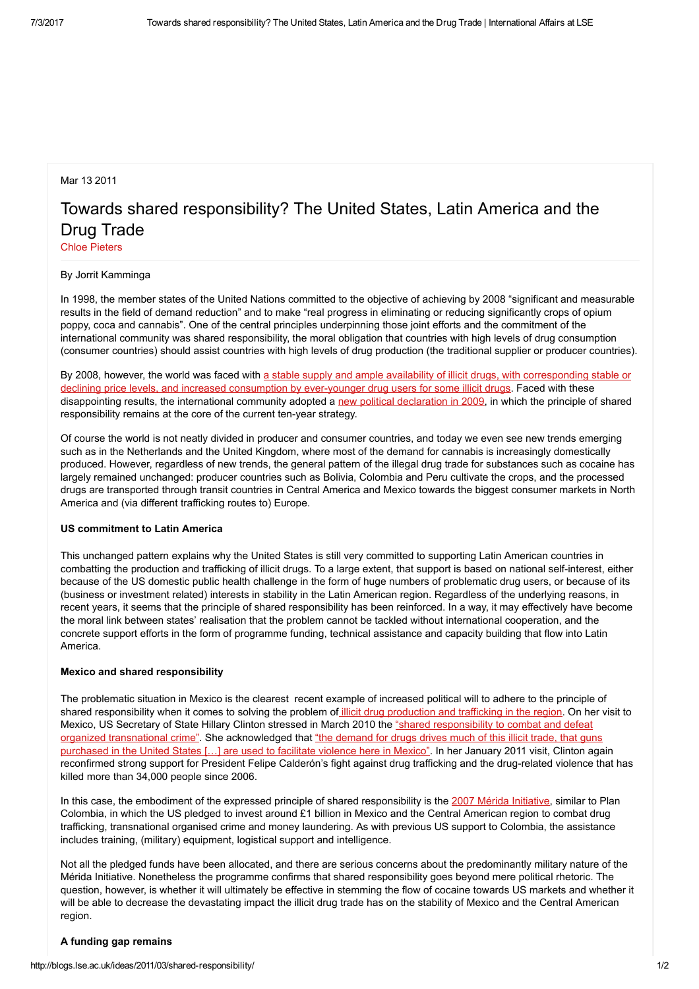## Mar 13 2011

# Towards shared responsibility? The United States, Latin America and the Drug Trade

Chloe [Pieters](http://blogs.lse.ac.uk/ideas/author/pieters/)

### By Jorrit Kamminga

In 1998, the member states of the United Nations committed to the objective of achieving by 2008 "significant and measurable results in the field of demand reduction" and to make "real progress in eliminating or reducing significantly crops of opium poppy, coca and cannabis". One of the central principles underpinning those joint efforts and the commitment of the international community was shared responsibility, the moral obligation that countries with high levels of drug consumption (consumer countries) should assist countries with high levels of drug production (the traditional supplier or producer countries).

By 2008, however, the world was faced with a stable supply and ample availability of illicit drugs, with [corresponding](http://www.unodc.org/unodc/en/data-and-analysis/WDR-2010.html) stable or declining price levels, and increased consumption by ever-younger drug users for some illicit drugs. Faced with these disappointing results, the international community adopted a new political [declaration](http://www.unodc.org/documents/commissions/CND-Uploads/CND-52-RelatedFiles/V0984963-English.pdf) in 2009, in which the principle of shared responsibility remains at the core of the current ten-year strategy.

Of course the world is not neatly divided in producer and consumer countries, and today we even see new trends emerging such as in the Netherlands and the United Kingdom, where most of the demand for cannabis is increasingly domestically produced. However, regardless of new trends, the general pattern of the illegal drug trade for substances such as cocaine has largely remained unchanged: producer countries such as Bolivia, Colombia and Peru cultivate the crops, and the processed drugs are transported through transit countries in Central America and Mexico towards the biggest consumer markets in North America and (via different trafficking routes to) Europe.

## US commitment to Latin America

This unchanged pattern explains why the United States is still very committed to supporting Latin American countries in combatting the production and trafficking of illicit drugs. To a large extent, that support is based on national self-interest, either because of the US domestic public health challenge in the form of huge numbers of problematic drug users, or because of its (business or investment related) interests in stability in the Latin American region. Regardless of the underlying reasons, in recent years, it seems that the principle of shared responsibility has been reinforced. In a way, it may effectively have become the moral link between states' realisation that the problem cannot be tackled without international cooperation, and the concrete support efforts in the form of programme funding, technical assistance and capacity building that flow into Latin America.

#### Mexico and shared responsibility

The problematic situation in Mexico is the clearest recent example of increased political will to adhere to the principle of shared responsibility when it comes to solving the problem of *illicit drug [production](http://www.bbc.co.uk/news/world-us-canada-11234058) and trafficking in the region*. On her visit to Mexico, US Secretary of State Hillary Clinton stressed in March 2010 the "shared responsibility to combat and defeat organized transnational crime". She [acknowledged](http://www.guardian.co.uk/world/2009/mar/26/mexico-hillary-clinton-drugs-weapons) that "the demand for drugs drives much of this illicit trade, that guns purchased in the United States [...] are used to facilitate violence here in Mexico". In her January 2011 visit, Clinton again reconfirmed strong support for President Felipe Calderón's fight against drug trafficking and the drug-related violence that has killed more than 34,000 people since 2006.

In this case, the embodiment of the expressed principle of shared responsibility is the 2007 Mérida [Initiative,](http://www.state.gov/p/inl/rls/fs/122397.htm) similar to Plan Colombia, in which the US pledged to invest around £1 billion in Mexico and the Central American region to combat drug trafficking, transnational organised crime and money laundering. As with previous US support to Colombia, the assistance includes training, (military) equipment, logistical support and intelligence.

Not all the pledged funds have been allocated, and there are serious concerns about the predominantly military nature of the Mérida Initiative. Nonetheless the programme confirms that shared responsibility goes beyond mere political rhetoric. The question, however, is whether it will ultimately be effective in stemming the flow of cocaine towards US markets and whether it will be able to decrease the devastating impact the illicit drug trade has on the stability of Mexico and the Central American region.

#### A funding gap remains